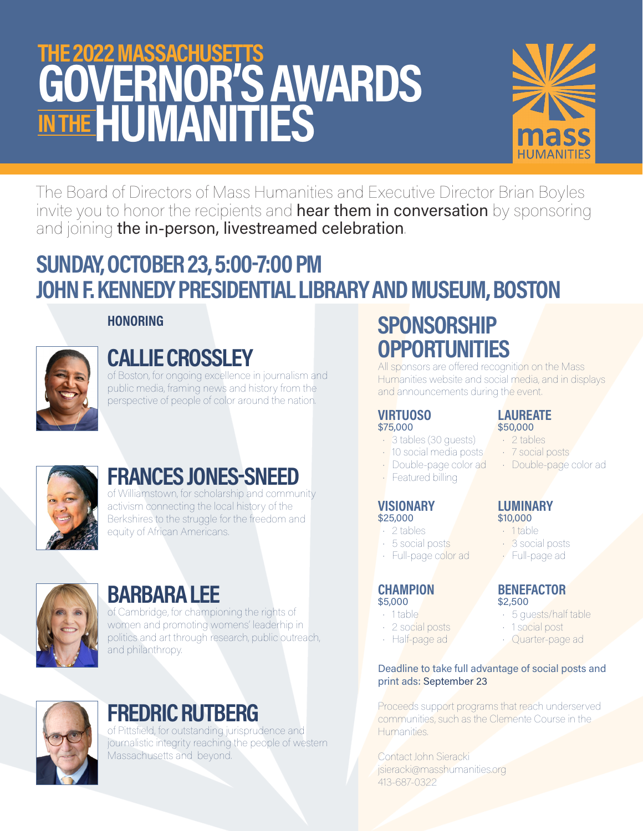# THE 2022 MASSACHUSETTS GOVERNOR'S AWARDS IN THE HUMANITIES



The Board of Directors of Mass Humanities and Executive Director Brian Boyles invite you to honor the recipients and hear them in conversation by sponsoring and joining the in-person, livestreamed celebration. FRIED BOYSTON<br>
FRIED BOYSTON<br>
Service Sponsoring<br>
Service Sponsoring<br>
Service Sponsoring<br>
FRIED Spons<br>
FRIED Spons<br>
FRIED Spons Correct Sponsition<br>
DRAFT<br>
DRAFT<br>
DRAFT<br>
DRAFT<br>
DRAFT<br>
DRAFT<br>
DRAFT<br>
DRAFT<br>
DRAFT<br>
DRAFT<br>
DRAF

# SUNDAY, OCTOBER 23, 5:00-7:00 PM JOHN F. KENNEDY PRESIDENTIAL LIBRARY AND MUSEUM, BOSTON



## **HONORING**

# CALLIE CROSSLEY

of Boston, for ongoing excellence in journalism and public media, framing news and history from the perspective of people of color around the nation.



# FRANCES JONES-SNEED

of Williamstown, for scholarship and community activism connecting the local history of the Berkshires to the struggle for the freedom and equity of African Americans.



# BARBARA LEE

of Cambridge, for championing the rights of women and promoting womens' leaderhip in politics and art through research, public outreach, and philanthropy.



# FREDRIC RUTBERG

of Pittsfield, for outstanding jurisprudence and journalistic integrity reaching the people of western Massachusetts and beyond.

# **SPONSORSHIP OPPORTUNITIES**

All sponsors are offered recognition on the Mass Humanities website and social media, and in displays and announcements during the event.

#### VIRTUOSO \$75,000

- 3 tables (30 guests)
- 10 social media posts
- Double-page color ad
- Featured billing

### **VISIONARY** \$25,000

- 2 tables
- 5 social posts
- Full-page color ad

#### **CHAMPION** \$5,000

- 1 table
- 2 social posts
- Half-page ad

#### LAUREATE \$50,000 • 2 tables

- 
- 7 social posts
- Double-page color ad

# LUMINARY

- \$10,000
- 1 table
- 3 social posts
- Full-page ad

### **BENEFACTOR** \$2,500

- 5 guests/half table
- 1 social post
- 

### Deadline to take full advantage of social posts and print ads: September 23

Proceeds support programs that reach underserved communities, such as the Clemente Course in the Humanities.

Contact John Sieracki jsieracki@masshumanities.org 413-687-0322